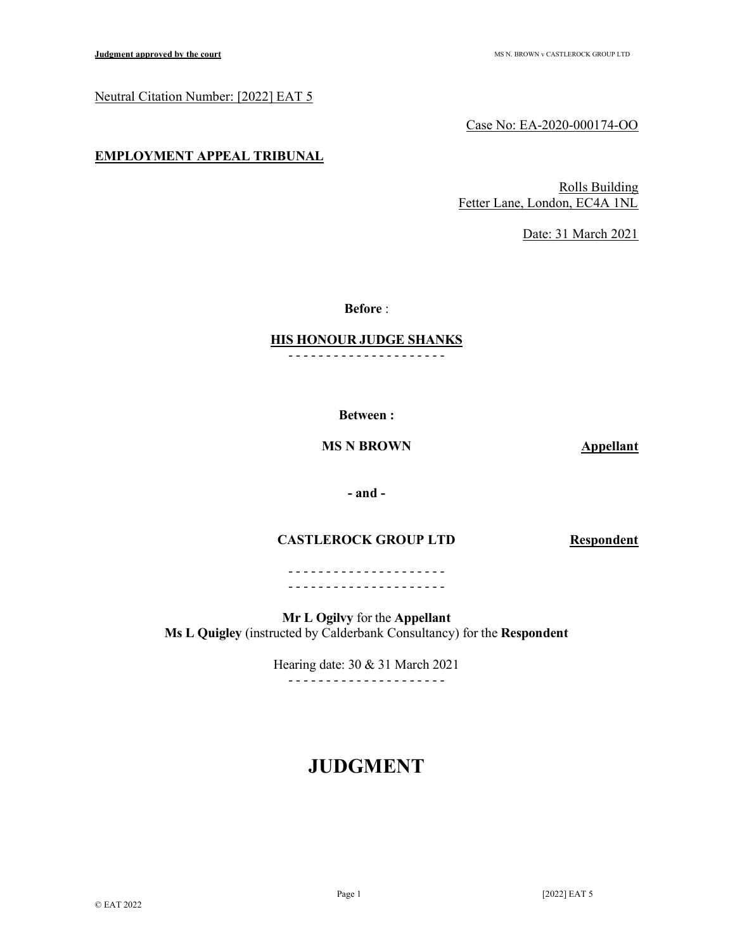## Neutral Citation Number: [2022] EAT 5

Case No: EA-2020-000174-OO

## EMPLOYMENT APPEAL TRIBUNAL

Rolls Building Fetter Lane, London, EC4A 1NL

Date: 31 March 2021

Before :

### HIS HONOUR JUDGE SHANKS - - - - - - - - - - - - - - - - - - - - -

Between :

## MS N BROWN Appellant

## - and -

## CASTLEROCK GROUP LTD Respondent

- - - - - - - - - - - - - - - - - - - - - - - - - - - - - - - - - - - - - - - - - -

Mr L Ogilvy for the Appellant Ms L Quigley (instructed by Calderbank Consultancy) for the Respondent

> Hearing date: 30 & 31 March 2021 - - - - - - - - - - - - - - - - - - - - -

# JUDGMENT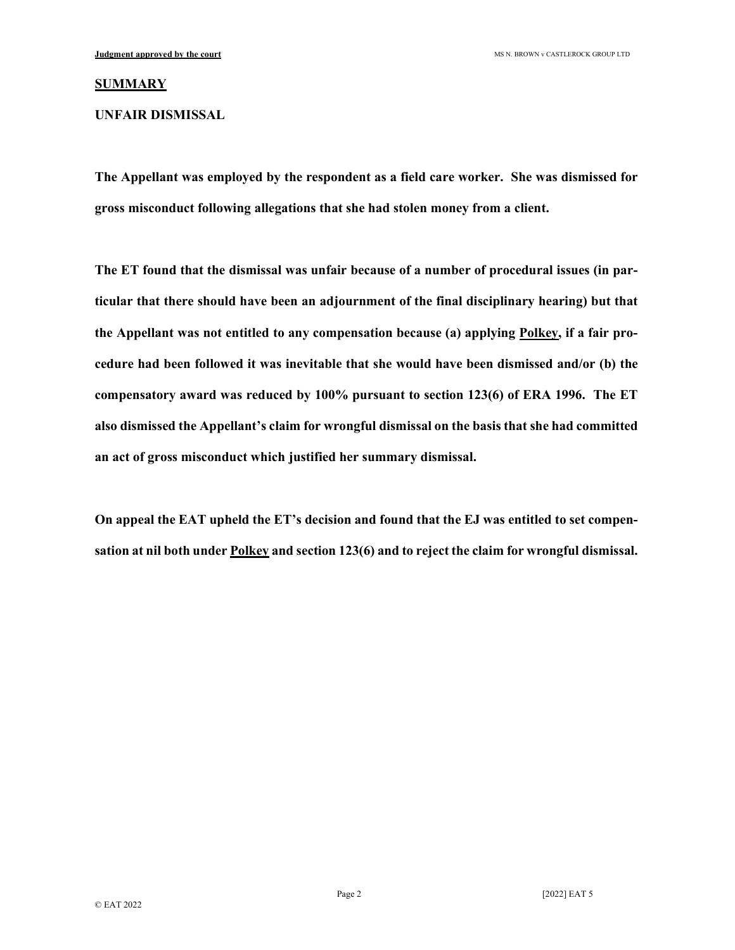### **SUMMARY**

UNFAIR DISMISSAL

The Appellant was employed by the respondent as a field care worker. She was dismissed for gross misconduct following allegations that she had stolen money from a client.

The ET found that the dismissal was unfair because of a number of procedural issues (in particular that there should have been an adjournment of the final disciplinary hearing) but that the Appellant was not entitled to any compensation because (a) applying Polkey, if a fair procedure had been followed it was inevitable that she would have been dismissed and/or (b) the compensatory award was reduced by 100% pursuant to section 123(6) of ERA 1996. The ET also dismissed the Appellant's claim for wrongful dismissal on the basis that she had committed an act of gross misconduct which justified her summary dismissal.

On appeal the EAT upheld the ET's decision and found that the EJ was entitled to set compensation at nil both under **Polkey** and section 123(6) and to reject the claim for wrongful dismissal.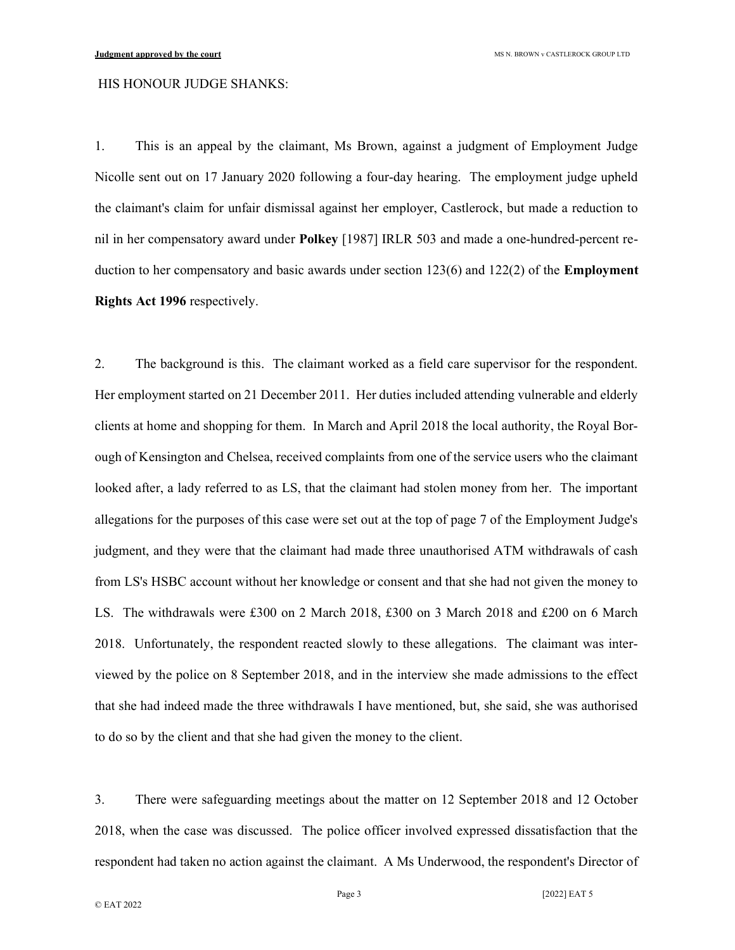### HIS HONOUR JUDGE SHANKS:

1. This is an appeal by the claimant, Ms Brown, against a judgment of Employment Judge Nicolle sent out on 17 January 2020 following a four-day hearing. The employment judge upheld the claimant's claim for unfair dismissal against her employer, Castlerock, but made a reduction to nil in her compensatory award under Polkey [1987] IRLR 503 and made a one-hundred-percent reduction to her compensatory and basic awards under section 123(6) and 122(2) of the **Employment** Rights Act 1996 respectively.

2. The background is this. The claimant worked as a field care supervisor for the respondent. Her employment started on 21 December 2011. Her duties included attending vulnerable and elderly clients at home and shopping for them. In March and April 2018 the local authority, the Royal Borough of Kensington and Chelsea, received complaints from one of the service users who the claimant looked after, a lady referred to as LS, that the claimant had stolen money from her. The important allegations for the purposes of this case were set out at the top of page 7 of the Employment Judge's judgment, and they were that the claimant had made three unauthorised ATM withdrawals of cash from LS's HSBC account without her knowledge or consent and that she had not given the money to LS. The withdrawals were £300 on 2 March 2018, £300 on 3 March 2018 and £200 on 6 March 2018. Unfortunately, the respondent reacted slowly to these allegations. The claimant was interviewed by the police on 8 September 2018, and in the interview she made admissions to the effect that she had indeed made the three withdrawals I have mentioned, but, she said, she was authorised to do so by the client and that she had given the money to the client.

3. There were safeguarding meetings about the matter on 12 September 2018 and 12 October 2018, when the case was discussed. The police officer involved expressed dissatisfaction that the respondent had taken no action against the claimant. A Ms Underwood, the respondent's Director of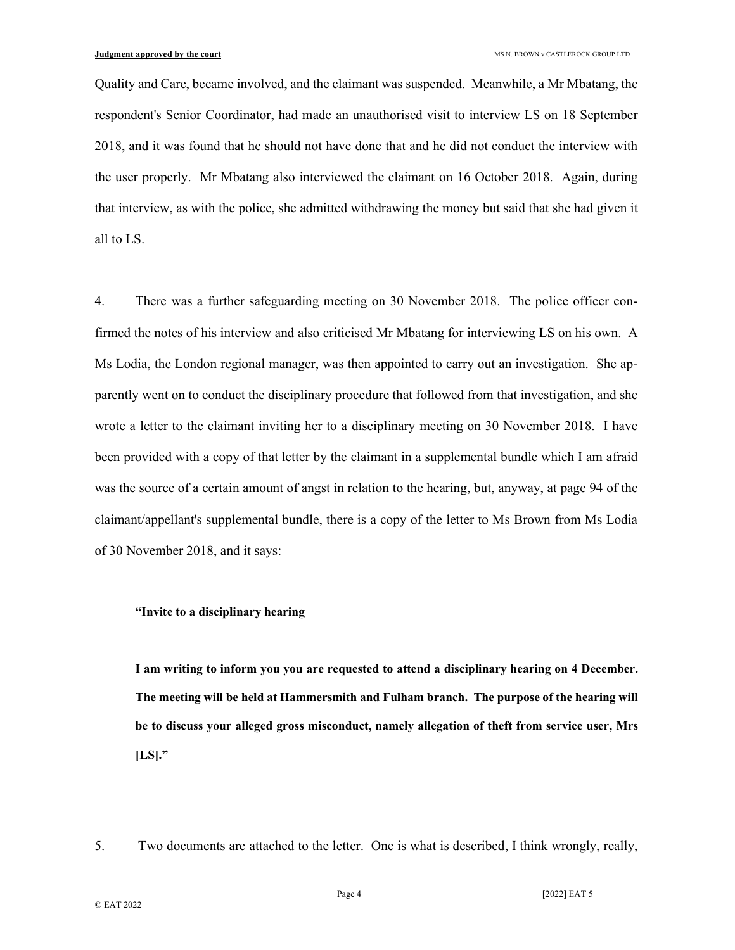Quality and Care, became involved, and the claimant was suspended. Meanwhile, a Mr Mbatang, the respondent's Senior Coordinator, had made an unauthorised visit to interview LS on 18 September 2018, and it was found that he should not have done that and he did not conduct the interview with the user properly. Mr Mbatang also interviewed the claimant on 16 October 2018. Again, during that interview, as with the police, she admitted withdrawing the money but said that she had given it all to LS.

4. There was a further safeguarding meeting on 30 November 2018. The police officer confirmed the notes of his interview and also criticised Mr Mbatang for interviewing LS on his own. A Ms Lodia, the London regional manager, was then appointed to carry out an investigation. She apparently went on to conduct the disciplinary procedure that followed from that investigation, and she wrote a letter to the claimant inviting her to a disciplinary meeting on 30 November 2018. I have been provided with a copy of that letter by the claimant in a supplemental bundle which I am afraid was the source of a certain amount of angst in relation to the hearing, but, anyway, at page 94 of the claimant/appellant's supplemental bundle, there is a copy of the letter to Ms Brown from Ms Lodia of 30 November 2018, and it says:

### "Invite to a disciplinary hearing

I am writing to inform you you are requested to attend a disciplinary hearing on 4 December. The meeting will be held at Hammersmith and Fulham branch. The purpose of the hearing will be to discuss your alleged gross misconduct, namely allegation of theft from service user, Mrs  $[LS]."$ 

5. Two documents are attached to the letter. One is what is described, I think wrongly, really,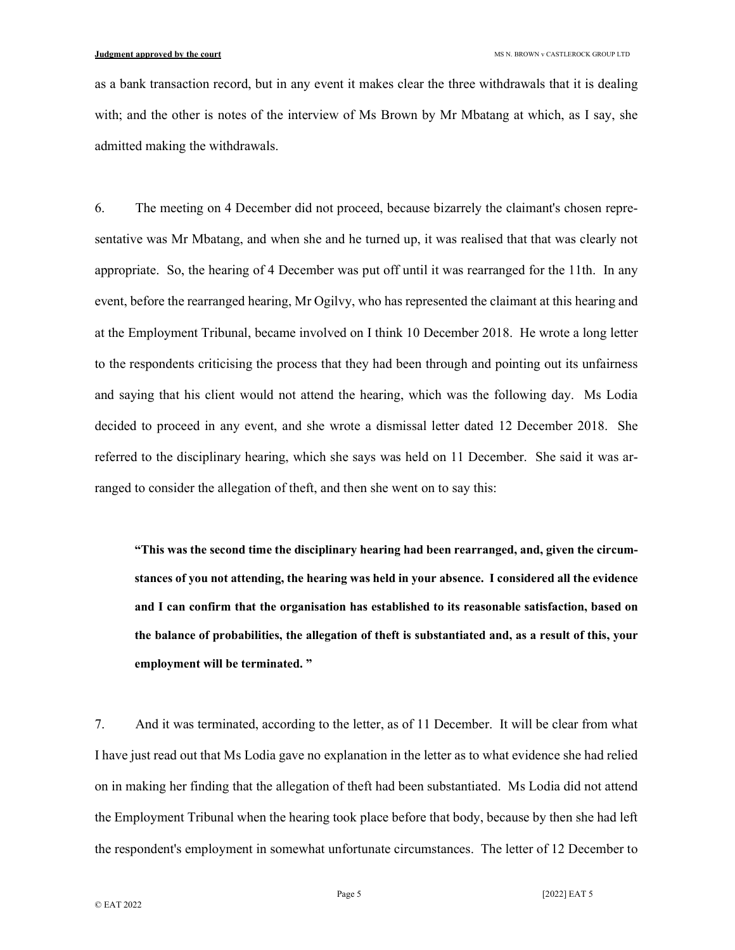as a bank transaction record, but in any event it makes clear the three withdrawals that it is dealing with; and the other is notes of the interview of Ms Brown by Mr Mbatang at which, as I say, she admitted making the withdrawals.

6. The meeting on 4 December did not proceed, because bizarrely the claimant's chosen representative was Mr Mbatang, and when she and he turned up, it was realised that that was clearly not appropriate. So, the hearing of 4 December was put off until it was rearranged for the 11th. In any event, before the rearranged hearing, Mr Ogilvy, who has represented the claimant at this hearing and at the Employment Tribunal, became involved on I think 10 December 2018. He wrote a long letter to the respondents criticising the process that they had been through and pointing out its unfairness and saying that his client would not attend the hearing, which was the following day. Ms Lodia decided to proceed in any event, and she wrote a dismissal letter dated 12 December 2018. She referred to the disciplinary hearing, which she says was held on 11 December. She said it was arranged to consider the allegation of theft, and then she went on to say this:

"This was the second time the disciplinary hearing had been rearranged, and, given the circumstances of you not attending, the hearing was held in your absence. I considered all the evidence and I can confirm that the organisation has established to its reasonable satisfaction, based on the balance of probabilities, the allegation of theft is substantiated and, as a result of this, your employment will be terminated. "

7. And it was terminated, according to the letter, as of 11 December. It will be clear from what I have just read out that Ms Lodia gave no explanation in the letter as to what evidence she had relied on in making her finding that the allegation of theft had been substantiated. Ms Lodia did not attend the Employment Tribunal when the hearing took place before that body, because by then she had left the respondent's employment in somewhat unfortunate circumstances. The letter of 12 December to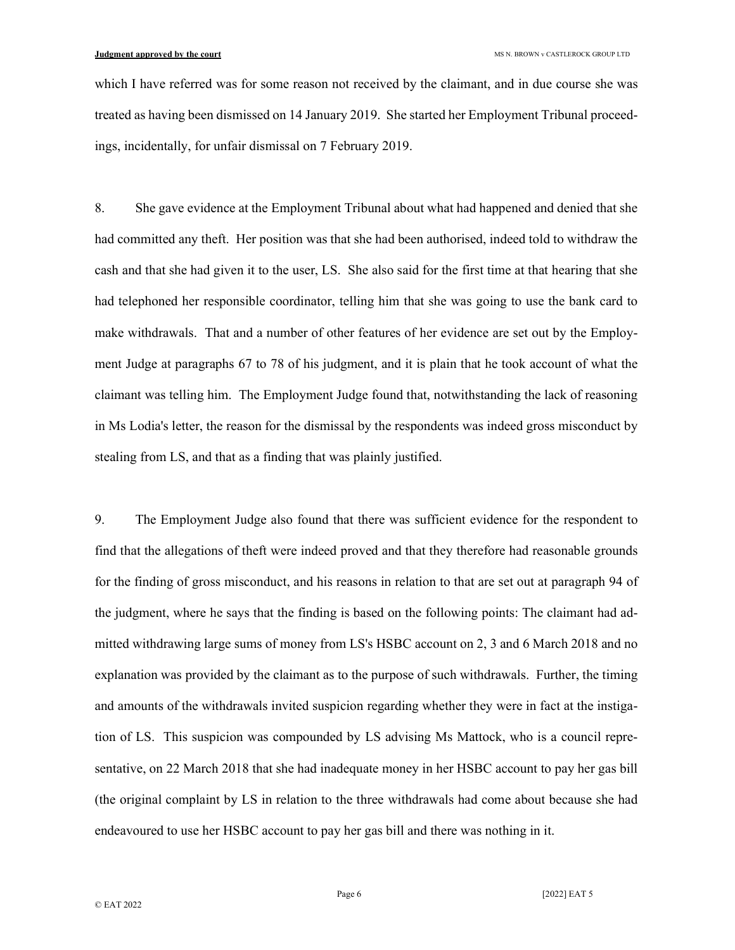which I have referred was for some reason not received by the claimant, and in due course she was treated as having been dismissed on 14 January 2019. She started her Employment Tribunal proceedings, incidentally, for unfair dismissal on 7 February 2019.

8. She gave evidence at the Employment Tribunal about what had happened and denied that she had committed any theft. Her position was that she had been authorised, indeed told to withdraw the cash and that she had given it to the user, LS. She also said for the first time at that hearing that she had telephoned her responsible coordinator, telling him that she was going to use the bank card to make withdrawals. That and a number of other features of her evidence are set out by the Employment Judge at paragraphs 67 to 78 of his judgment, and it is plain that he took account of what the claimant was telling him. The Employment Judge found that, notwithstanding the lack of reasoning in Ms Lodia's letter, the reason for the dismissal by the respondents was indeed gross misconduct by stealing from LS, and that as a finding that was plainly justified.

9. The Employment Judge also found that there was sufficient evidence for the respondent to find that the allegations of theft were indeed proved and that they therefore had reasonable grounds for the finding of gross misconduct, and his reasons in relation to that are set out at paragraph 94 of the judgment, where he says that the finding is based on the following points: The claimant had admitted withdrawing large sums of money from LS's HSBC account on 2, 3 and 6 March 2018 and no explanation was provided by the claimant as to the purpose of such withdrawals. Further, the timing and amounts of the withdrawals invited suspicion regarding whether they were in fact at the instigation of LS. This suspicion was compounded by LS advising Ms Mattock, who is a council representative, on 22 March 2018 that she had inadequate money in her HSBC account to pay her gas bill (the original complaint by LS in relation to the three withdrawals had come about because she had endeavoured to use her HSBC account to pay her gas bill and there was nothing in it.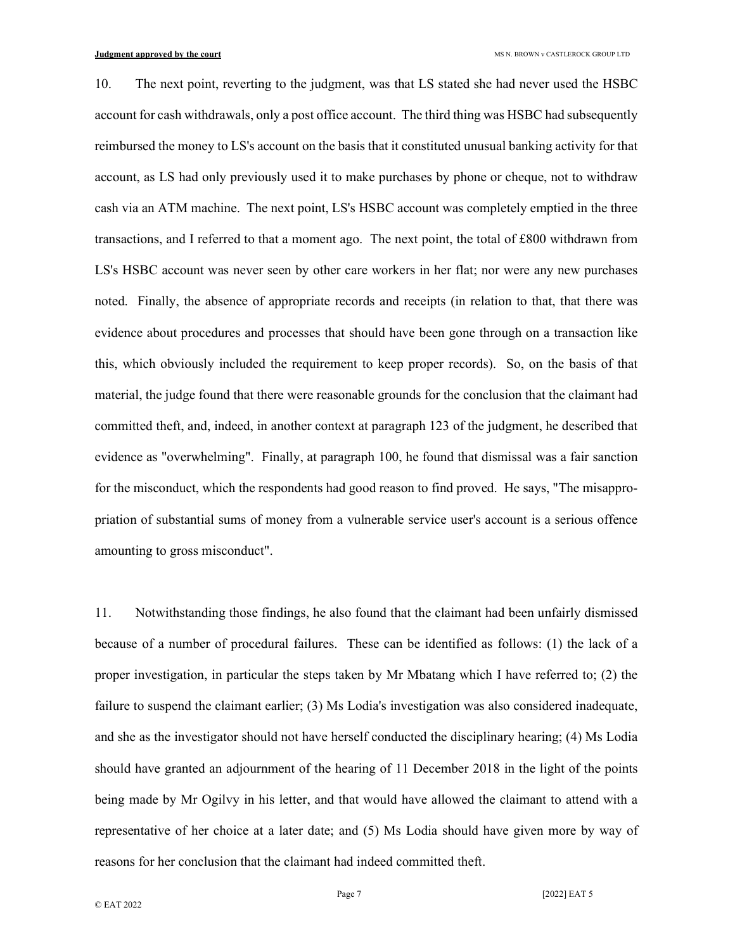10. The next point, reverting to the judgment, was that LS stated she had never used the HSBC account for cash withdrawals, only a post office account. The third thing was HSBC had subsequently reimbursed the money to LS's account on the basis that it constituted unusual banking activity for that account, as LS had only previously used it to make purchases by phone or cheque, not to withdraw cash via an ATM machine. The next point, LS's HSBC account was completely emptied in the three transactions, and I referred to that a moment ago. The next point, the total of £800 withdrawn from LS's HSBC account was never seen by other care workers in her flat; nor were any new purchases noted. Finally, the absence of appropriate records and receipts (in relation to that, that there was evidence about procedures and processes that should have been gone through on a transaction like this, which obviously included the requirement to keep proper records). So, on the basis of that material, the judge found that there were reasonable grounds for the conclusion that the claimant had committed theft, and, indeed, in another context at paragraph 123 of the judgment, he described that evidence as "overwhelming". Finally, at paragraph 100, he found that dismissal was a fair sanction for the misconduct, which the respondents had good reason to find proved. He says, "The misappropriation of substantial sums of money from a vulnerable service user's account is a serious offence amounting to gross misconduct".

11. Notwithstanding those findings, he also found that the claimant had been unfairly dismissed because of a number of procedural failures. These can be identified as follows: (1) the lack of a proper investigation, in particular the steps taken by Mr Mbatang which I have referred to; (2) the failure to suspend the claimant earlier; (3) Ms Lodia's investigation was also considered inadequate, and she as the investigator should not have herself conducted the disciplinary hearing; (4) Ms Lodia should have granted an adjournment of the hearing of 11 December 2018 in the light of the points being made by Mr Ogilvy in his letter, and that would have allowed the claimant to attend with a representative of her choice at a later date; and (5) Ms Lodia should have given more by way of reasons for her conclusion that the claimant had indeed committed theft.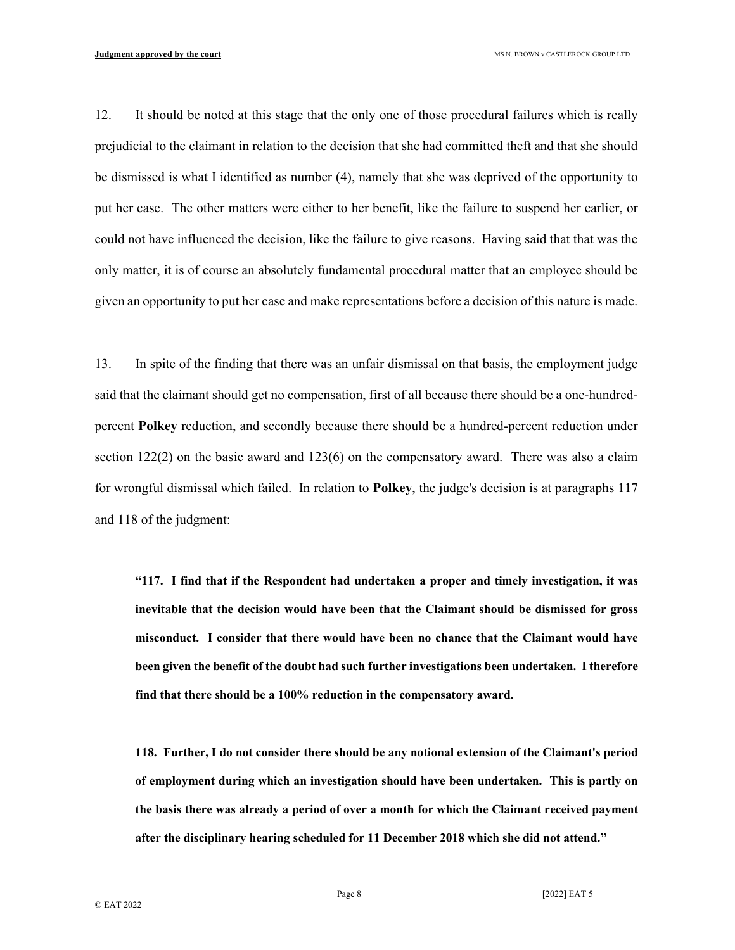12. It should be noted at this stage that the only one of those procedural failures which is really prejudicial to the claimant in relation to the decision that she had committed theft and that she should be dismissed is what I identified as number (4), namely that she was deprived of the opportunity to put her case. The other matters were either to her benefit, like the failure to suspend her earlier, or could not have influenced the decision, like the failure to give reasons. Having said that that was the only matter, it is of course an absolutely fundamental procedural matter that an employee should be given an opportunity to put her case and make representations before a decision of this nature is made.

13. In spite of the finding that there was an unfair dismissal on that basis, the employment judge said that the claimant should get no compensation, first of all because there should be a one-hundredpercent Polkey reduction, and secondly because there should be a hundred-percent reduction under section 122(2) on the basic award and 123(6) on the compensatory award. There was also a claim for wrongful dismissal which failed. In relation to Polkey, the judge's decision is at paragraphs 117 and 118 of the judgment:

"117. I find that if the Respondent had undertaken a proper and timely investigation, it was inevitable that the decision would have been that the Claimant should be dismissed for gross misconduct. I consider that there would have been no chance that the Claimant would have been given the benefit of the doubt had such further investigations been undertaken. I therefore find that there should be a 100% reduction in the compensatory award.

118. Further, I do not consider there should be any notional extension of the Claimant's period of employment during which an investigation should have been undertaken. This is partly on the basis there was already a period of over a month for which the Claimant received payment after the disciplinary hearing scheduled for 11 December 2018 which she did not attend."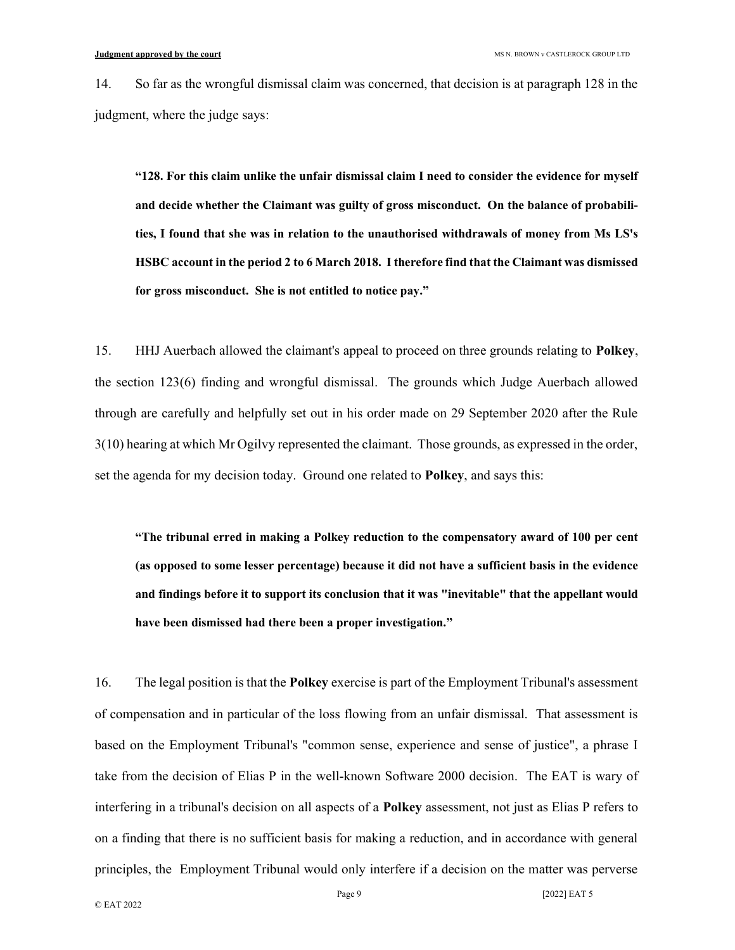14. So far as the wrongful dismissal claim was concerned, that decision is at paragraph 128 in the judgment, where the judge says:

"128. For this claim unlike the unfair dismissal claim I need to consider the evidence for myself and decide whether the Claimant was guilty of gross misconduct. On the balance of probabilities, I found that she was in relation to the unauthorised withdrawals of money from Ms LS's HSBC account in the period 2 to 6 March 2018. I therefore find that the Claimant was dismissed for gross misconduct. She is not entitled to notice pay."

15. HHJ Auerbach allowed the claimant's appeal to proceed on three grounds relating to Polkey, the section 123(6) finding and wrongful dismissal. The grounds which Judge Auerbach allowed through are carefully and helpfully set out in his order made on 29 September 2020 after the Rule 3(10) hearing at which Mr Ogilvy represented the claimant. Those grounds, as expressed in the order, set the agenda for my decision today. Ground one related to **Polkey**, and says this:

"The tribunal erred in making a Polkey reduction to the compensatory award of 100 per cent (as opposed to some lesser percentage) because it did not have a sufficient basis in the evidence and findings before it to support its conclusion that it was "inevitable" that the appellant would have been dismissed had there been a proper investigation."

16. The legal position is that the Polkey exercise is part of the Employment Tribunal's assessment of compensation and in particular of the loss flowing from an unfair dismissal. That assessment is based on the Employment Tribunal's "common sense, experience and sense of justice", a phrase I take from the decision of Elias P in the well-known Software 2000 decision. The EAT is wary of interfering in a tribunal's decision on all aspects of a Polkey assessment, not just as Elias P refers to on a finding that there is no sufficient basis for making a reduction, and in accordance with general principles, the Employment Tribunal would only interfere if a decision on the matter was perverse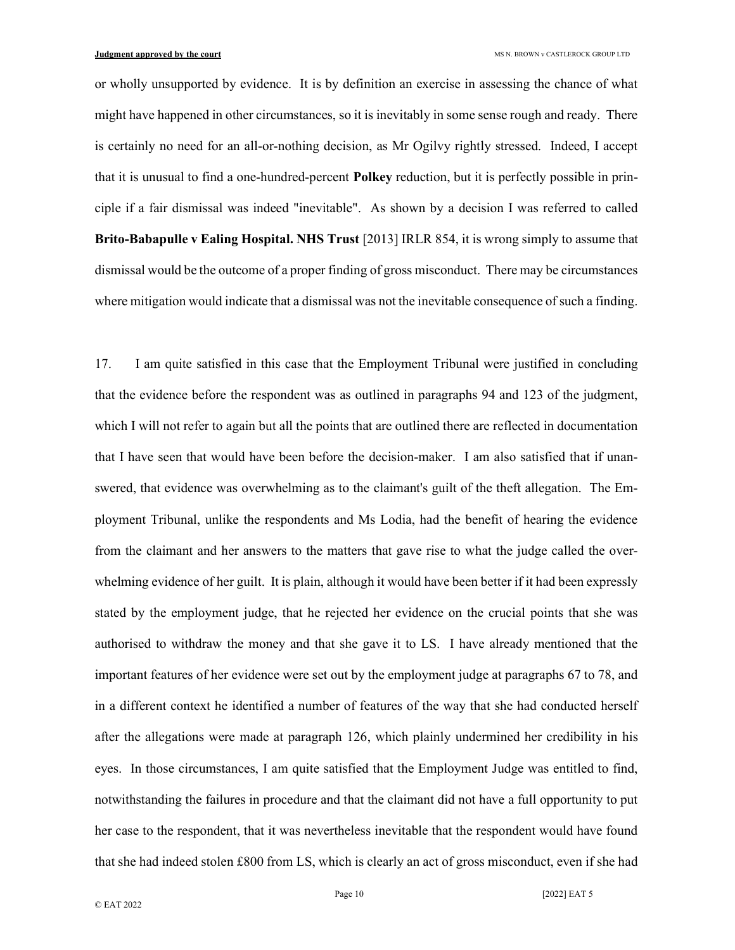or wholly unsupported by evidence. It is by definition an exercise in assessing the chance of what might have happened in other circumstances, so it is inevitably in some sense rough and ready. There is certainly no need for an all-or-nothing decision, as Mr Ogilvy rightly stressed. Indeed, I accept that it is unusual to find a one-hundred-percent Polkey reduction, but it is perfectly possible in principle if a fair dismissal was indeed "inevitable". As shown by a decision I was referred to called Brito-Babapulle v Ealing Hospital. NHS Trust [2013] IRLR 854, it is wrong simply to assume that dismissal would be the outcome of a proper finding of gross misconduct. There may be circumstances where mitigation would indicate that a dismissal was not the inevitable consequence of such a finding.

17. I am quite satisfied in this case that the Employment Tribunal were justified in concluding that the evidence before the respondent was as outlined in paragraphs 94 and 123 of the judgment, which I will not refer to again but all the points that are outlined there are reflected in documentation that I have seen that would have been before the decision-maker. I am also satisfied that if unanswered, that evidence was overwhelming as to the claimant's guilt of the theft allegation. The Employment Tribunal, unlike the respondents and Ms Lodia, had the benefit of hearing the evidence from the claimant and her answers to the matters that gave rise to what the judge called the overwhelming evidence of her guilt. It is plain, although it would have been better if it had been expressly stated by the employment judge, that he rejected her evidence on the crucial points that she was authorised to withdraw the money and that she gave it to LS. I have already mentioned that the important features of her evidence were set out by the employment judge at paragraphs 67 to 78, and in a different context he identified a number of features of the way that she had conducted herself after the allegations were made at paragraph 126, which plainly undermined her credibility in his eyes. In those circumstances, I am quite satisfied that the Employment Judge was entitled to find, notwithstanding the failures in procedure and that the claimant did not have a full opportunity to put her case to the respondent, that it was nevertheless inevitable that the respondent would have found that she had indeed stolen £800 from LS, which is clearly an act of gross misconduct, even if she had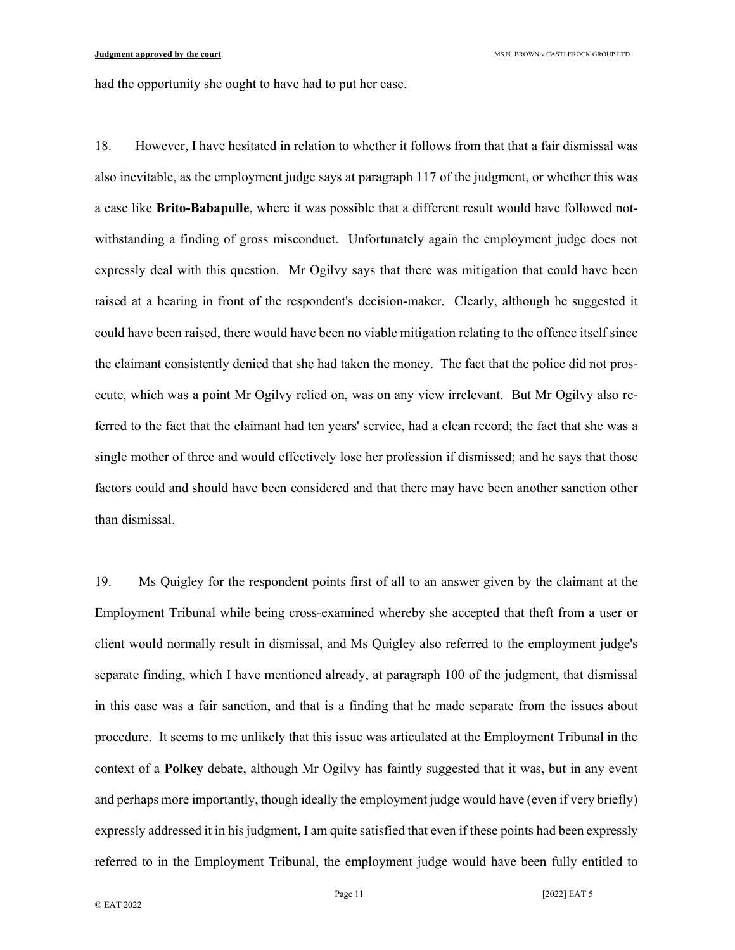had the opportunity she ought to have had to put her case.

18. However, I have hesitated in relation to whether it follows from that that a fair dismissal was also inevitable, as the employment judge says at paragraph 117 of the judgment, or whether this was a case like Brito-Babapulle, where it was possible that a different result would have followed notwithstanding a finding of gross misconduct. Unfortunately again the employment judge does not expressly deal with this question. Mr Ogilvy says that there was mitigation that could have been raised at a hearing in front of the respondent's decision-maker. Clearly, although he suggested it could have been raised, there would have been no viable mitigation relating to the offence itself since the claimant consistently denied that she had taken the money. The fact that the police did not prosecute, which was a point Mr Ogilvy relied on, was on any view irrelevant. But Mr Ogilvy also referred to the fact that the claimant had ten years' service, had a clean record; the fact that she was a single mother of three and would effectively lose her profession if dismissed; and he says that those factors could and should have been considered and that there may have been another sanction other than dismissal.

19. Ms Quigley for the respondent points first of all to an answer given by the claimant at the Employment Tribunal while being cross-examined whereby she accepted that theft from a user or client would normally result in dismissal, and Ms Quigley also referred to the employment judge's separate finding, which I have mentioned already, at paragraph 100 of the judgment, that dismissal in this case was a fair sanction, and that is a finding that he made separate from the issues about procedure. It seems to me unlikely that this issue was articulated at the Employment Tribunal in the context of a Polkey debate, although Mr Ogilvy has faintly suggested that it was, but in any event and perhaps more importantly, though ideally the employment judge would have (even if very briefly) expressly addressed it in his judgment, I am quite satisfied that even if these points had been expressly referred to in the Employment Tribunal, the employment judge would have been fully entitled to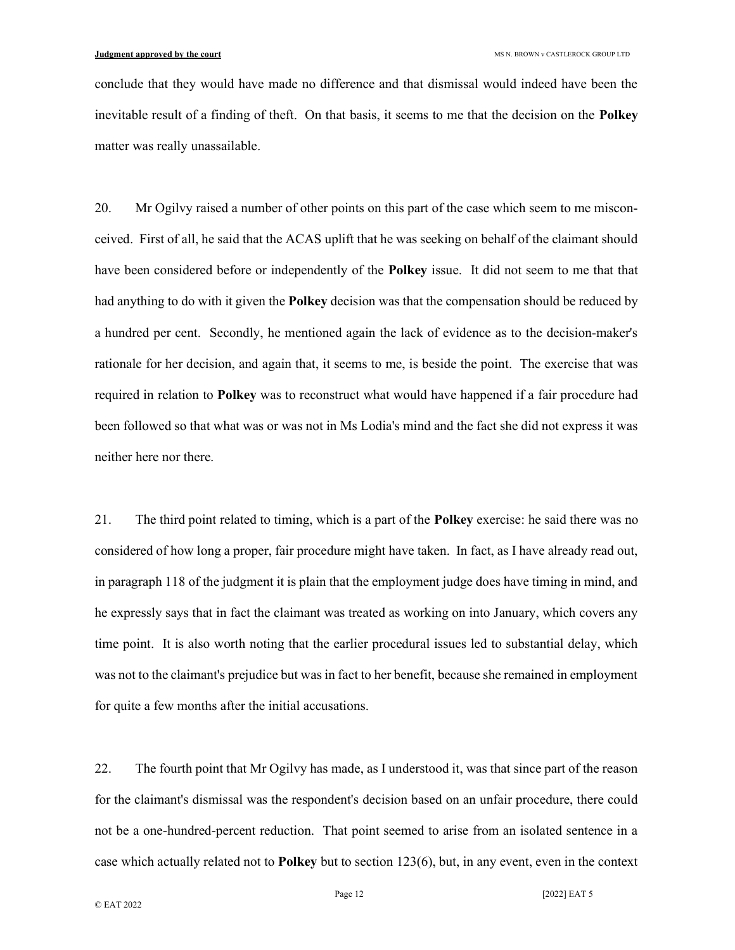conclude that they would have made no difference and that dismissal would indeed have been the inevitable result of a finding of theft. On that basis, it seems to me that the decision on the Polkey matter was really unassailable.

20. Mr Ogilvy raised a number of other points on this part of the case which seem to me misconceived. First of all, he said that the ACAS uplift that he was seeking on behalf of the claimant should have been considered before or independently of the Polkey issue. It did not seem to me that that had anything to do with it given the **Polkey** decision was that the compensation should be reduced by a hundred per cent. Secondly, he mentioned again the lack of evidence as to the decision-maker's rationale for her decision, and again that, it seems to me, is beside the point. The exercise that was required in relation to **Polkey** was to reconstruct what would have happened if a fair procedure had been followed so that what was or was not in Ms Lodia's mind and the fact she did not express it was neither here nor there.

21. The third point related to timing, which is a part of the Polkey exercise: he said there was no considered of how long a proper, fair procedure might have taken. In fact, as I have already read out, in paragraph 118 of the judgment it is plain that the employment judge does have timing in mind, and he expressly says that in fact the claimant was treated as working on into January, which covers any time point. It is also worth noting that the earlier procedural issues led to substantial delay, which was not to the claimant's prejudice but was in fact to her benefit, because she remained in employment for quite a few months after the initial accusations.

22. The fourth point that Mr Ogilvy has made, as I understood it, was that since part of the reason for the claimant's dismissal was the respondent's decision based on an unfair procedure, there could not be a one-hundred-percent reduction. That point seemed to arise from an isolated sentence in a case which actually related not to Polkey but to section 123(6), but, in any event, even in the context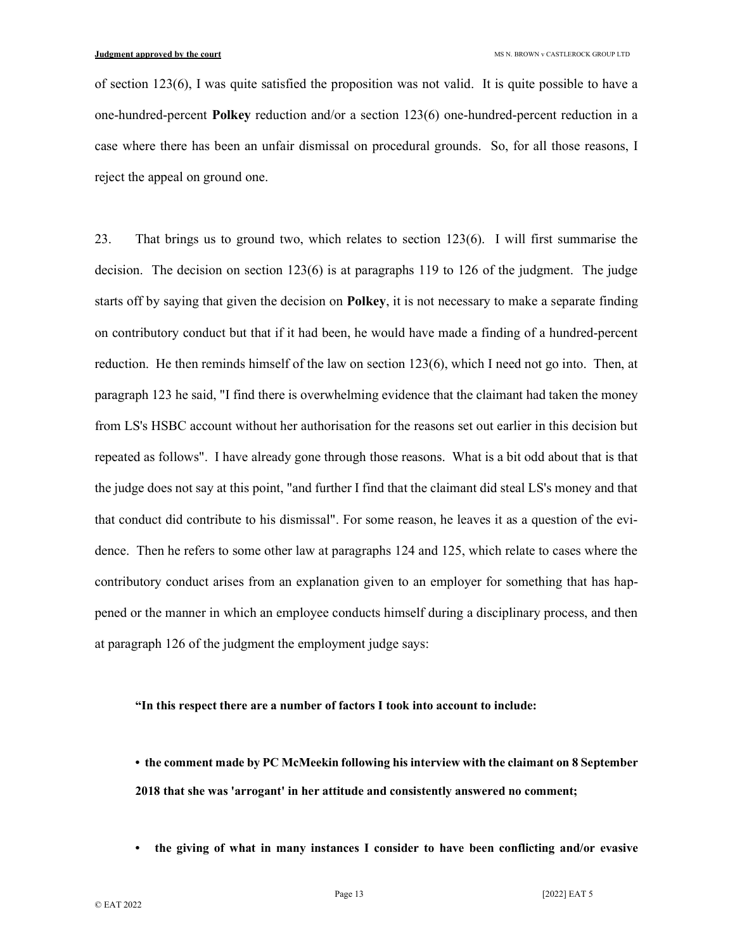of section 123(6), I was quite satisfied the proposition was not valid. It is quite possible to have a one-hundred-percent Polkey reduction and/or a section 123(6) one-hundred-percent reduction in a case where there has been an unfair dismissal on procedural grounds. So, for all those reasons, I reject the appeal on ground one.

23. That brings us to ground two, which relates to section 123(6). I will first summarise the decision. The decision on section  $123(6)$  is at paragraphs 119 to 126 of the judgment. The judge starts off by saying that given the decision on **Polkey**, it is not necessary to make a separate finding on contributory conduct but that if it had been, he would have made a finding of a hundred-percent reduction. He then reminds himself of the law on section 123(6), which I need not go into. Then, at paragraph 123 he said, "I find there is overwhelming evidence that the claimant had taken the money from LS's HSBC account without her authorisation for the reasons set out earlier in this decision but repeated as follows". I have already gone through those reasons. What is a bit odd about that is that the judge does not say at this point, "and further I find that the claimant did steal LS's money and that that conduct did contribute to his dismissal". For some reason, he leaves it as a question of the evidence. Then he refers to some other law at paragraphs 124 and 125, which relate to cases where the contributory conduct arises from an explanation given to an employer for something that has happened or the manner in which an employee conducts himself during a disciplinary process, and then at paragraph 126 of the judgment the employment judge says:

### "In this respect there are a number of factors I took into account to include:

• the comment made by PC McMeekin following his interview with the claimant on 8 September 2018 that she was 'arrogant' in her attitude and consistently answered no comment;

• the giving of what in many instances I consider to have been conflicting and/or evasive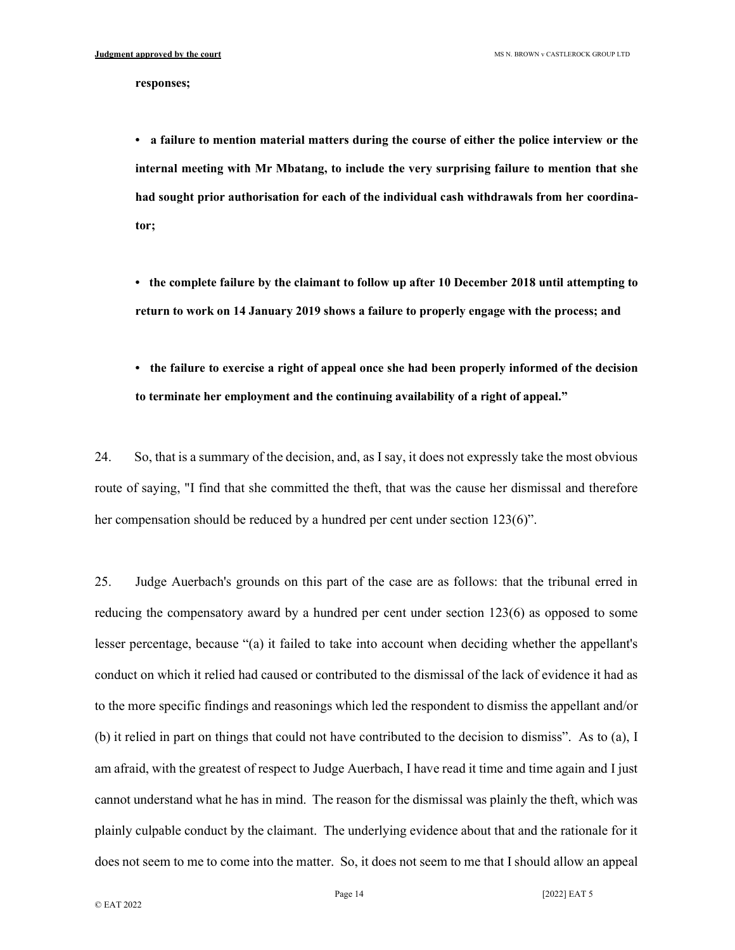#### responses;

• a failure to mention material matters during the course of either the police interview or the internal meeting with Mr Mbatang, to include the very surprising failure to mention that she had sought prior authorisation for each of the individual cash withdrawals from her coordinator;

• the complete failure by the claimant to follow up after 10 December 2018 until attempting to return to work on 14 January 2019 shows a failure to properly engage with the process; and

• the failure to exercise a right of appeal once she had been properly informed of the decision to terminate her employment and the continuing availability of a right of appeal."

24. So, that is a summary of the decision, and, as I say, it does not expressly take the most obvious route of saying, "I find that she committed the theft, that was the cause her dismissal and therefore her compensation should be reduced by a hundred per cent under section 123(6)".

25. Judge Auerbach's grounds on this part of the case are as follows: that the tribunal erred in reducing the compensatory award by a hundred per cent under section 123(6) as opposed to some lesser percentage, because "(a) it failed to take into account when deciding whether the appellant's conduct on which it relied had caused or contributed to the dismissal of the lack of evidence it had as to the more specific findings and reasonings which led the respondent to dismiss the appellant and/or (b) it relied in part on things that could not have contributed to the decision to dismiss". As to (a), I am afraid, with the greatest of respect to Judge Auerbach, I have read it time and time again and I just cannot understand what he has in mind. The reason for the dismissal was plainly the theft, which was plainly culpable conduct by the claimant. The underlying evidence about that and the rationale for it does not seem to me to come into the matter. So, it does not seem to me that I should allow an appeal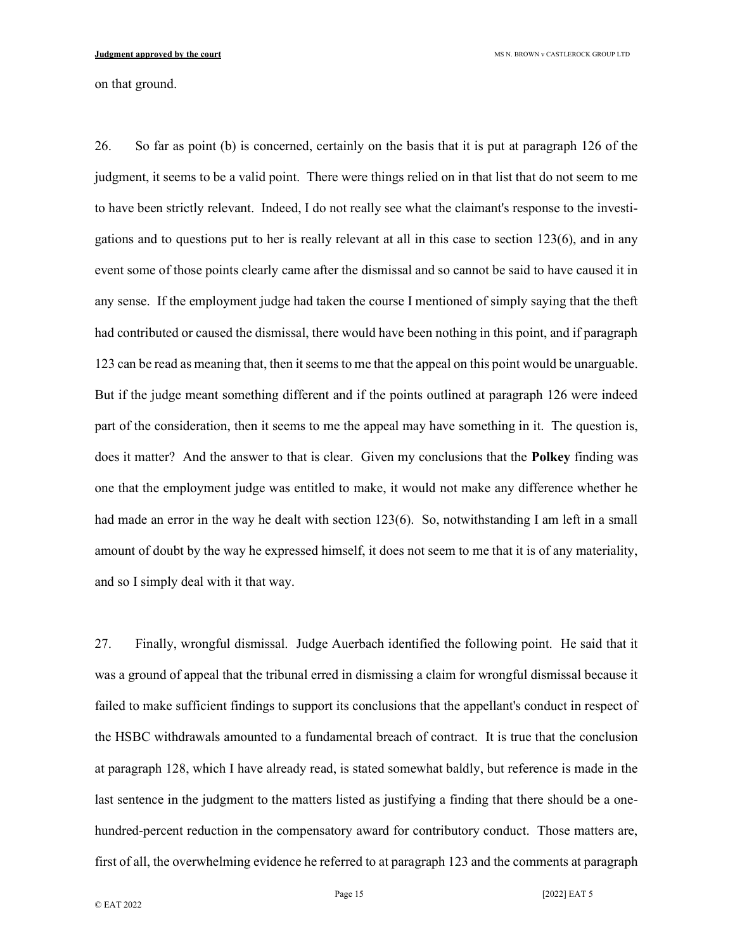on that ground.

26. So far as point (b) is concerned, certainly on the basis that it is put at paragraph 126 of the judgment, it seems to be a valid point. There were things relied on in that list that do not seem to me to have been strictly relevant. Indeed, I do not really see what the claimant's response to the investigations and to questions put to her is really relevant at all in this case to section 123(6), and in any event some of those points clearly came after the dismissal and so cannot be said to have caused it in any sense. If the employment judge had taken the course I mentioned of simply saying that the theft had contributed or caused the dismissal, there would have been nothing in this point, and if paragraph 123 can be read as meaning that, then it seems to me that the appeal on this point would be unarguable. But if the judge meant something different and if the points outlined at paragraph 126 were indeed part of the consideration, then it seems to me the appeal may have something in it. The question is, does it matter? And the answer to that is clear. Given my conclusions that the **Polkey** finding was one that the employment judge was entitled to make, it would not make any difference whether he had made an error in the way he dealt with section 123(6). So, notwithstanding I am left in a small amount of doubt by the way he expressed himself, it does not seem to me that it is of any materiality, and so I simply deal with it that way.

27. Finally, wrongful dismissal. Judge Auerbach identified the following point. He said that it was a ground of appeal that the tribunal erred in dismissing a claim for wrongful dismissal because it failed to make sufficient findings to support its conclusions that the appellant's conduct in respect of the HSBC withdrawals amounted to a fundamental breach of contract. It is true that the conclusion at paragraph 128, which I have already read, is stated somewhat baldly, but reference is made in the last sentence in the judgment to the matters listed as justifying a finding that there should be a onehundred-percent reduction in the compensatory award for contributory conduct. Those matters are, first of all, the overwhelming evidence he referred to at paragraph 123 and the comments at paragraph